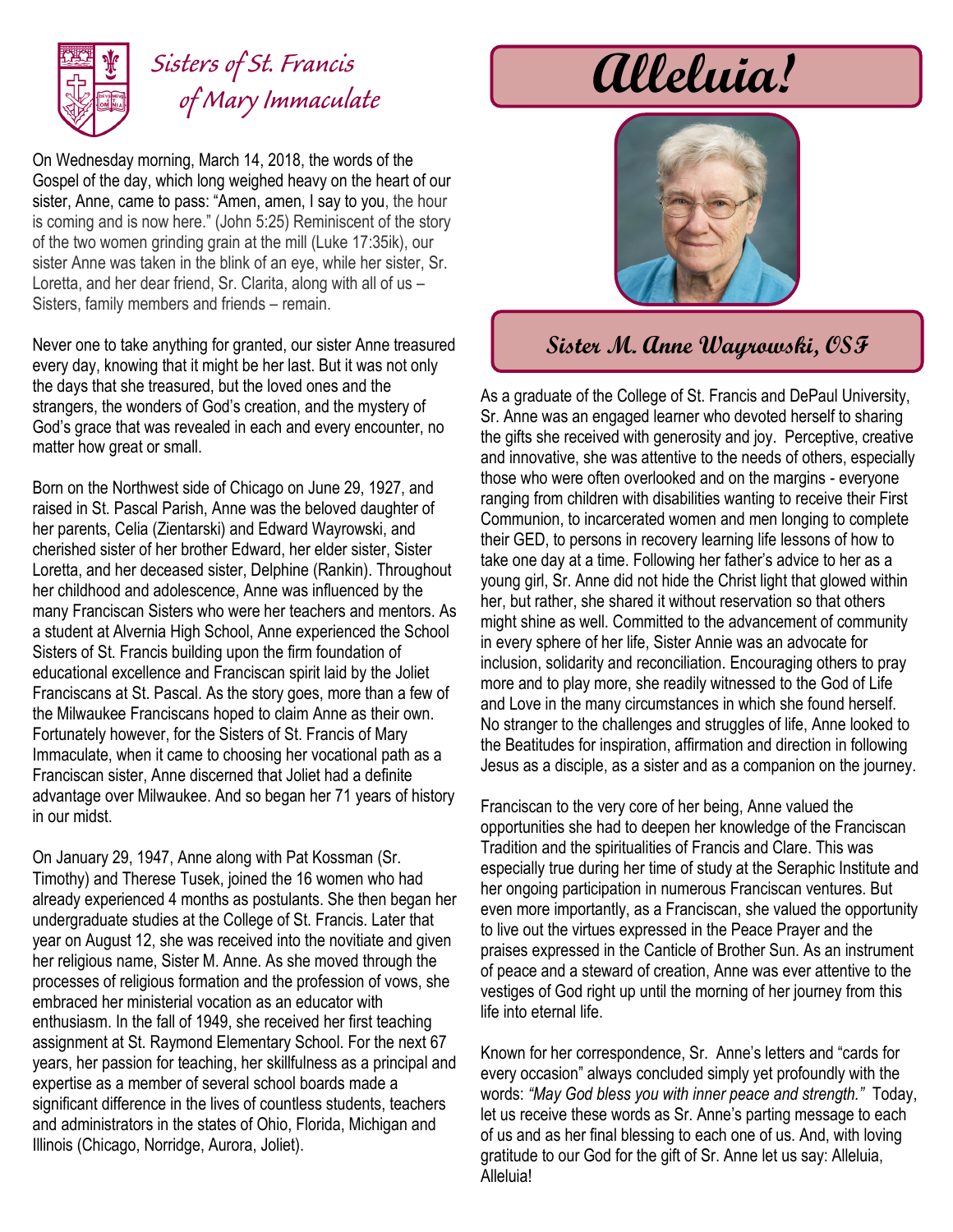

## *Sisters of St. Francis of Mary Immaculate*

On Wednesday morning, March 14, 2018, the words of the Gospel of the day, which long weighed heavy on the heart of our sister, Anne, came to pass: "Amen, amen, I say to you, the hour is coming and is now here." (John 5:25) Reminiscent of the story of the two women grinding grain at the mill (Luke 17:35ik), our sister Anne was taken in the blink of an eye, while her sister, Sr. Loretta, and her dear friend, Sr. Clarita, along with all of us – Sisters, family members and friends – remain.

Never one to take anything for granted, our sister Anne treasured every day, knowing that it might be her last. But it was not only the days that she treasured, but the loved ones and the strangers, the wonders of God's creation, and the mystery of God's grace that was revealed in each and every encounter, no matter how great or small.

Born on the Northwest side of Chicago on June 29, 1927, and raised in St. Pascal Parish, Anne was the beloved daughter of her parents, Celia (Zientarski) and Edward Wayrowski, and cherished sister of her brother Edward, her elder sister, Sister Loretta, and her deceased sister, Delphine (Rankin). Throughout her childhood and adolescence, Anne was influenced by the many Franciscan Sisters who were her teachers and mentors. As a student at Alvernia High School, Anne experienced the School Sisters of St. Francis building upon the firm foundation of educational excellence and Franciscan spirit laid by the Joliet Franciscans at St. Pascal. As the story goes, more than a few of the Milwaukee Franciscans hoped to claim Anne as their own. Fortunately however, for the Sisters of St. Francis of Mary Immaculate, when it came to choosing her vocational path as a Franciscan sister, Anne discerned that Joliet had a definite advantage over Milwaukee. And so began her 71 years of history in our midst.

On January 29, 1947, Anne along with Pat Kossman (Sr. Timothy) and Therese Tusek, joined the 16 women who had already experienced 4 months as postulants. She then began her undergraduate studies at the College of St. Francis. Later that year on August 12, she was received into the novitiate and given her religious name, Sister M. Anne. As she moved through the processes of religious formation and the profession of vows, she embraced her ministerial vocation as an educator with enthusiasm. In the fall of 1949, she received her first teaching assignment at St. Raymond Elementary School. For the next 67 years, her passion for teaching, her skillfulness as a principal and expertise as a member of several school boards made a significant difference in the lives of countless students, teachers and administrators in the states of Ohio, Florida, Michigan and Illinois (Chicago, Norridge, Aurora, Joliet).

# **Alleluia!**



### **Sister M. Anne Wayrowski, OSF**

As a graduate of the College of St. Francis and DePaul University, Sr. Anne was an engaged learner who devoted herself to sharing the gifts she received with generosity and joy. Perceptive, creative and innovative, she was attentive to the needs of others, especially those who were often overlooked and on the margins - everyone ranging from children with disabilities wanting to receive their First Communion, to incarcerated women and men longing to complete their GED, to persons in recovery learning life lessons of how to take one day at a time. Following her father's advice to her as a young girl, Sr. Anne did not hide the Christ light that glowed within her, but rather, she shared it without reservation so that others might shine as well. Committed to the advancement of community in every sphere of her life, Sister Annie was an advocate for inclusion, solidarity and reconciliation. Encouraging others to pray more and to play more, she readily witnessed to the God of Life and Love in the many circumstances in which she found herself. No stranger to the challenges and struggles of life, Anne looked to the Beatitudes for inspiration, affirmation and direction in following Jesus as a disciple, as a sister and as a companion on the journey.

Franciscan to the very core of her being, Anne valued the opportunities she had to deepen her knowledge of the Franciscan Tradition and the spiritualities of Francis and Clare. This was especially true during her time of study at the Seraphic Institute and her ongoing participation in numerous Franciscan ventures. But even more importantly, as a Franciscan, she valued the opportunity to live out the virtues expressed in the Peace Prayer and the praises expressed in the Canticle of Brother Sun. As an instrument of peace and a steward of creation, Anne was ever attentive to the vestiges of God right up until the morning of her journey from this life into eternal life.

Known for her correspondence, Sr. Anne's letters and "cards for every occasion" always concluded simply yet profoundly with the words: *"May God bless you with inner peace and strength."* Today, let us receive these words as Sr. Anne's parting message to each of us and as her final blessing to each one of us. And, with loving gratitude to our God for the gift of Sr. Anne let us say: Alleluia, **Alleluia!**